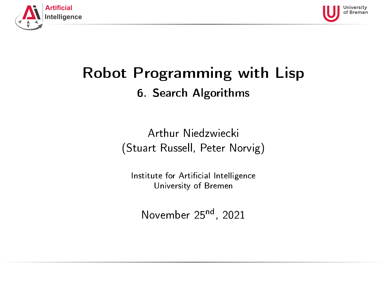<span id="page-0-0"></span>



# Robot Programming with Lisp 6. Search Algorithms

Arthur Niedzwiecki (Stuart Russell, Peter Norvig)

Institute for Artificial Intelligence University of Bremen

November 25<sup>nd</sup>, 2021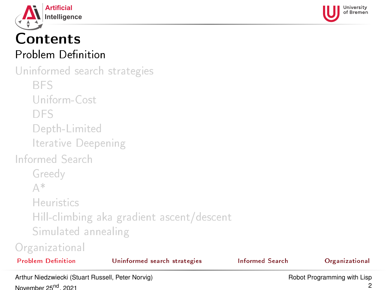<span id="page-1-0"></span>



## Contents Problem Definition

[Uninformed search strategies](#page-20-0) [BFS](#page-22-0) [Uniform-Cost](#page-29-0) [DFS](#page-35-0) [Depth-Limited](#page-50-0) [Iterative Deepening](#page-51-0) [Informed Search](#page-62-0) [Greedy](#page-65-0) [A\\*](#page-72-0) [Heuristics](#page-83-0) [Hill-climbing aka gradient ascent/descent](#page-89-0) [Simulated annealing](#page-91-0)

| <b>Problem Definition</b> | Uninformed search strategies | Informed Search | Organizational |
|---------------------------|------------------------------|-----------------|----------------|
| Organizational            |                              |                 |                |

Arthur Niedzwiecki (Stuart Russell, Peter Norvig) November 25<sup>nd</sup>, 2021

2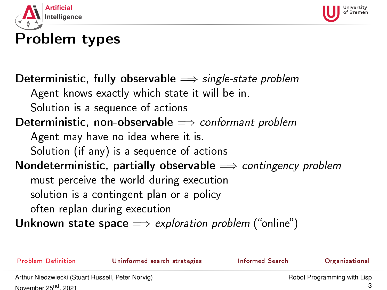<span id="page-2-0"></span>



# Problem types

### Deterministic, fully observable  $\implies$  single-state problem

Agent knows exactly which state it will be in.

Solution is a sequence of actions

## Deterministic, non-observable  $\implies$  conformant problem

Agent may have no idea where it is.

Solution (if any) is a sequence of actions

### Nondeterministic, partially observable  $\implies$  contingency problem

must perceive the world during execution

solution is a contingent plan or a policy

often replan during execution

Unknown state space  $\implies$  exploration problem ("online")

Problem Definition **[Uninformed search strategies](#page-20-0)** [Informed Search](#page-62-0) [Organizational](#page-93-0)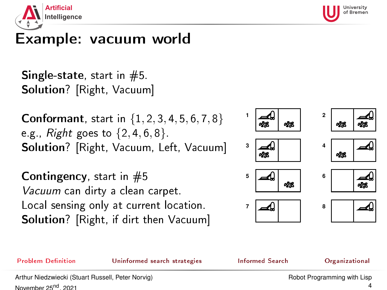<span id="page-3-0"></span>



# Example: vacuum world

**Single-state, start in**  $#5$ **.** Solution? [Right, Vacuum]

**Conformant**, start in  $\{1, 2, 3, 4, 5, 6, 7, 8\}$ e.g., Right goes to  $\{2, 4, 6, 8\}$ . Solution? [Right, Vacuum, Left, Vacuum]

**Contingency**, start in  $#5$ Vacuum can dirty a clean carpet. Local sensing only at current location. Solution? [Right, if dirt then Vacuum]



Problem Definition **[Uninformed search strategies](#page-20-0)** [Informed Search](#page-62-0) [Organizational](#page-93-0)

Arthur Niedzwiecki (Stuart Russell, Peter Norvig) November 25<sup>nd</sup>, 2021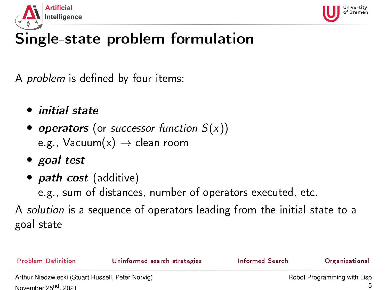<span id="page-4-0"></span>



# Single-state problem formulation

A *problem* is defined by four items:

- initial state
- operators (or successor function  $S(x)$ ) e.g., Vacuum $(x) \rightarrow$  clean room
- goal test
- *path cost* (additive)

e.g., sum of distances, number of operators executed, etc.

A solution is a sequence of operators leading from the initial state to a goal state

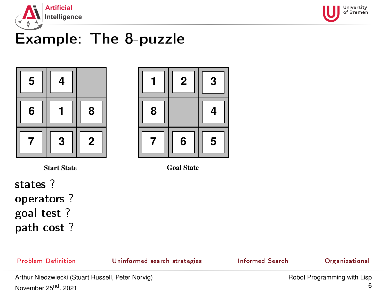<span id="page-5-0"></span>



# Example: The 8-puzzle





**Start State Goal State**

states ? operators ? goal test ? path cost ?

Problem Definition **[Uninformed search strategies](#page-20-0)** [Informed Search](#page-62-0) [Organizational](#page-93-0)



Arthur Niedzwiecki (Stuart Russell, Peter Norvig) November 25<sup>nd</sup>, 2021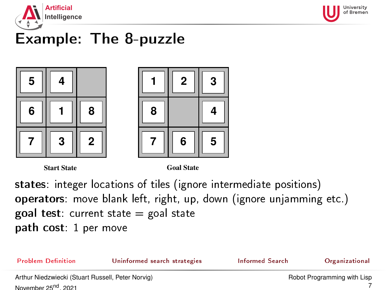<span id="page-6-0"></span>



# Example: The 8-puzzle





**Start State Goal State**

states: integer locations of tiles (ignore intermediate positions) operators: move blank left, right, up, down (ignore unjamming etc.) goal test: current state  $=$  goal state path cost: 1 per move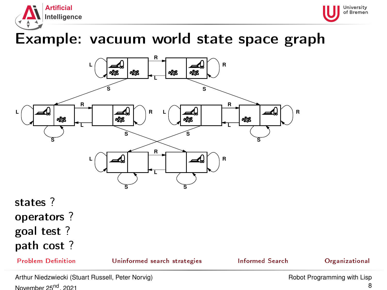<span id="page-7-0"></span>



## Example: vacuum world state space graph



## states ? operators ? goal test ? path cost ?

Problem Definition **[Uninformed search strategies](#page-20-0)** [Informed Search](#page-62-0) [Organizational](#page-93-0)

Arthur Niedzwiecki (Stuart Russell, Peter Norvig) November 25<sup>nd</sup>, 2021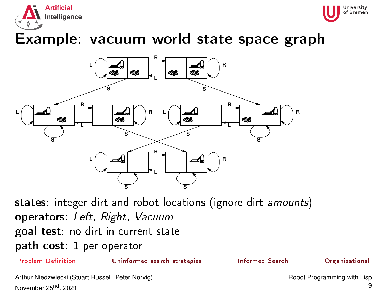<span id="page-8-0"></span>



# Example: vacuum world state space graph



states: integer dirt and robot locations (ignore dirt amounts) operators: Left, Right, Vacuum goal test: no dirt in current state path cost: 1 per operator

Problem Definition **[Uninformed search strategies](#page-20-0)** [Informed Search](#page-62-0) [Organizational](#page-93-0)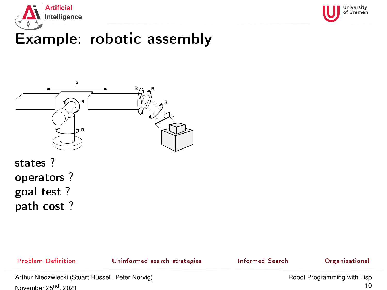<span id="page-9-0"></span>



# Example: robotic assembly



## states ? operators ? goal test ? path cost ?

Problem Definition **[Uninformed search strategies](#page-20-0)** [Informed Search](#page-62-0) [Organizational](#page-93-0)

Arthur Niedzwiecki (Stuart Russell, Peter Norvig) November 25<sup>nd</sup>, 2021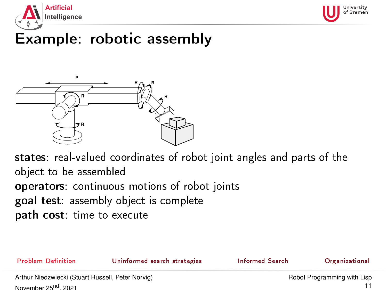<span id="page-10-0"></span>



# Example: robotic assembly



states: real-valued coordinates of robot joint angles and parts of the object to be assembled operators: continuous motions of robot joints goal test: assembly object is complete path cost: time to execute



November 25<sup>nd</sup>, 2021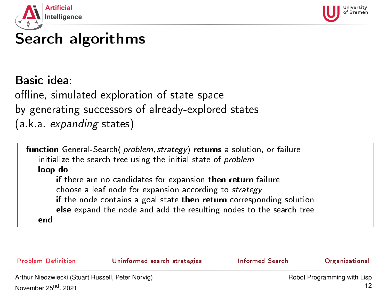<span id="page-11-0"></span>



# Search algorithms

Basic idea: offline, simulated exploration of state space by generating successors of already-explored states (a.k.a. expanding states)

function General-Search( problem, strategy) returns a solution, or failure initialize the search tree using the initial state of problem loop do if there are no candidates for expansion then return failure choose a leaf node for expansion according to strategy if the node contains a goal state then return corresponding solution else expand the node and add the resulting nodes to the search tree end

| <b>Problem Definition</b>                         | Uninformed search strategies | Informed Search             | Organizational |
|---------------------------------------------------|------------------------------|-----------------------------|----------------|
| Arthur Niedzwiecki (Stuart Russell, Peter Norvig) |                              | Robot Programming with Lisp |                |
| November 25 <sup>00</sup> 2021                    |                              |                             |                |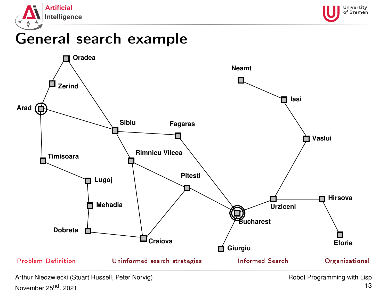<span id="page-12-0"></span>





Arthur Niedzwiecki (Stuart Russell, Peter Norvig) November 25<sup>nd</sup>, 2021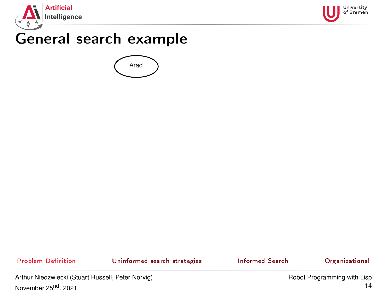<span id="page-13-0"></span>





Problem Definition [Uninformed search strategies](#page-20-0) [Informed Search](#page-62-0) [Organizational](#page-93-0)

Arthur Niedzwiecki (Stuart Russell, Peter Norvig) November 25<sup>nd</sup>, 2021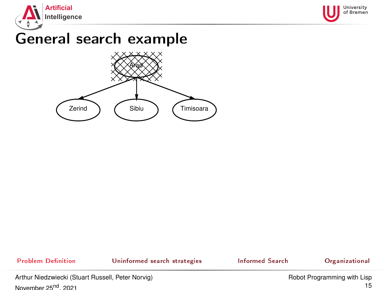<span id="page-14-0"></span>





Problem Definition **[Uninformed search strategies](#page-20-0)** [Informed Search](#page-62-0) [Organizational](#page-93-0)

Arthur Niedzwiecki (Stuart Russell, Peter Norvig) November 25<sup>nd</sup>, 2021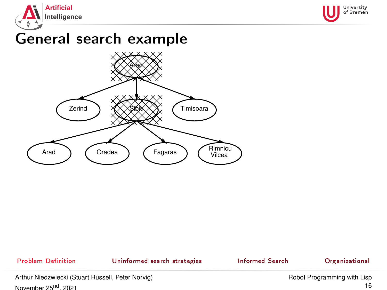<span id="page-15-0"></span>





### Problem Definition **[Uninformed search strategies](#page-20-0)** [Informed Search](#page-62-0) [Organizational](#page-93-0) Arthur Niedzwiecki (Stuart Russell, Peter Norvig) November 25<sup>nd</sup>, 2021 [Robot Programming with Lisp](#page-0-0) 16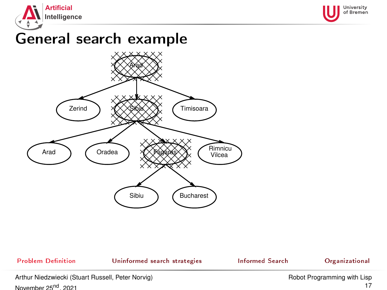<span id="page-16-0"></span>





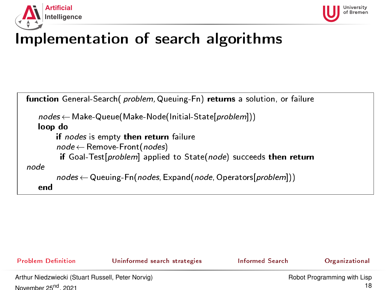<span id="page-17-0"></span>



# Implementation of search algorithms

```
function General-Search( problem, Queuing-Fn) returns a solution, or failure
   nodes \leftarrow Make-Queue(Make-Node(Initial-State[problem]))loop do
       if nodes is empty then return failure
        node ← Remove-Front(nodes)
         if Goal-Test[problem] applied to State(node) succeeds then return
node
        nodes \leftarrow Queuing-Fn(nodes, Expand(node, Operators[problem]))
   end
```
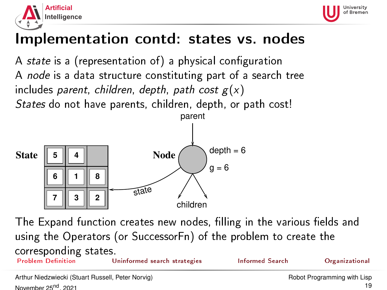<span id="page-18-0"></span>



# Implementation contd: states vs. nodes

A state is a (representation of) a physical configuration A node is a data structure constituting part of a search tree includes parent, children, depth, path cost  $g(x)$ States do not have parents, children, depth, or path cost!



The Expand function creates new nodes, filling in the various fields and using the Operators (or SuccessorFn) of the problem to create the corresponding states. [Uninformed search strategies](#page-20-0) [Informed Search](#page-62-0) Search [Organizational](#page-93-0)

Arthur Niedzwiecki (Stuart Russell, Peter Norvig) November 25<sup>nd</sup>, 2021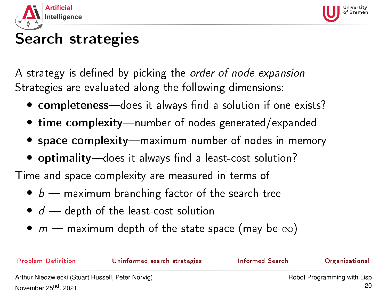<span id="page-19-0"></span>



# Search strategies

A strategy is defined by picking the *order of node expansion* Strategies are evaluated along the following dimensions:

- completeness-does it always find a solution if one exists?
- $\bullet$  time complexity—number of nodes generated/expanded
- space complexity—maximum number of nodes in memory
- optimality-does it always find a least-cost solution?

Time and space complexity are measured in terms of

- $\bullet$  b maximum branching factor of the search tree
- $\bullet$   $d$   $\rightarrow$  depth of the least-cost solution
- $m$  maximum depth of the state space (may be  $\infty$ )

Problem Definition **[Uninformed search strategies](#page-20-0)** [Informed Search](#page-62-0) [Organizational](#page-93-0)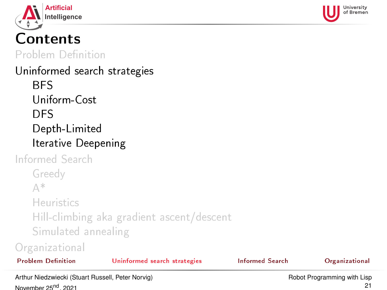<span id="page-20-0"></span>



# Contents

Problem Definition

## [Uninformed search strategies](#page-20-0) **[BFS](#page-22-0)** [Uniform-Cost](#page-29-0) [DFS](#page-35-0) [Depth-Limited](#page-50-0) [Iterative Deepening](#page-51-0)

[Informed Search](#page-62-0) [Greedy](#page-65-0) [A\\*](#page-72-0) [Heuristics](#page-83-0) [Hill-climbing aka gradient ascent/descent](#page-89-0) [Simulated annealing](#page-91-0)

### [Organizational](#page-93-0)

| <b>Problem Definition</b> |  |  |
|---------------------------|--|--|
|                           |  |  |

[Uninformed search strategies](#page-20-0) [Informed Search](#page-62-0) Search [Organizational](#page-93-0)

Arthur Niedzwiecki (Stuart Russell, Peter Norvig) November 25<sup>nd</sup>, 2021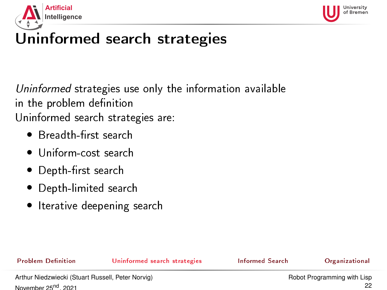<span id="page-21-0"></span>



# Uninformed search strategies

Uninformed strategies use only the information available in the problem definition Uninformed search strategies are:

- Breadth-first search
- Uniform-cost search
- Depth-first search
- Depth-limited search
- Iterative deepening search

Problem Definition **[Uninformed search strategies](#page-20-0)** [Informed Search](#page-62-0) [Organizational](#page-93-0)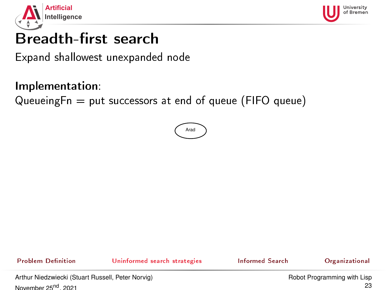<span id="page-22-0"></span>



# Breadth-first search

Expand shallowest unexpanded node

### Implementation:

QueueingFn  $=$  put successors at end of queue (FIFO queue)



Problem Definition **[Uninformed search strategies](#page-20-0)** [Informed Search](#page-62-0) [Organizational](#page-93-0)

Arthur Niedzwiecki (Stuart Russell, Peter Norvig) November 25<sup>nd</sup>, 2021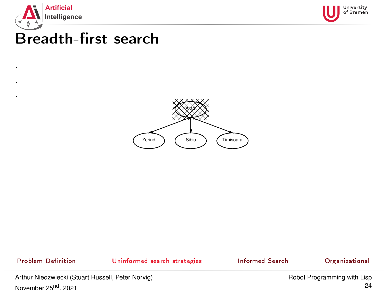

. . .



# Breadth-first search



Problem Definition **[Uninformed search strategies](#page-20-0)** [Informed Search](#page-62-0) [Organizational](#page-93-0)

Arthur Niedzwiecki (Stuart Russell, Peter Norvig) November 25<sup>nd</sup>, 2021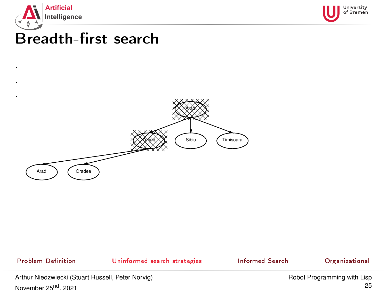

. .



# Breadth-first search



Problem Definition **[Uninformed search strategies](#page-20-0)** [Informed Search](#page-62-0) [Organizational](#page-93-0)

Arthur Niedzwiecki (Stuart Russell, Peter Norvig) November 25<sup>nd</sup>, 2021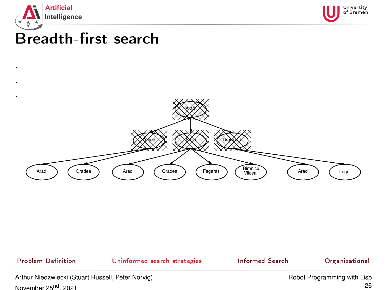

. .



# Breadth-first search



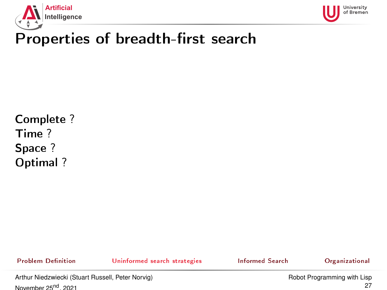



# Properties of breadth-first search

Complete ? Time ? Space ? Optimal ?

Problem Definition **[Uninformed search strategies](#page-20-0)** [Informed Search](#page-62-0) [Organizational](#page-93-0)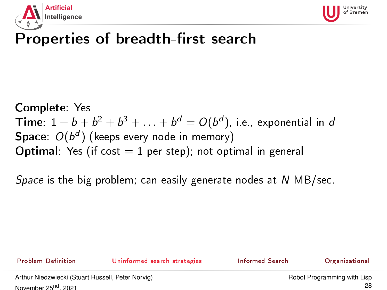



# Properties of breadth-first search

Complete: Yes **Time**:  $1+b+b^2+b^3+\ldots+b^d=O(b^d)$ , i.e., exponential in d  $\mathsf{Space} \colon \mathit{O} (b^d)$  (keeps every node in memory) **Optimal:** Yes (if cost  $= 1$  per step); not optimal in general

Space is the big problem; can easily generate nodes at  $N$  MB/sec.

Problem Definition **[Uninformed search strategies](#page-20-0)** [Informed Search](#page-62-0) [Organizational](#page-93-0)

Arthur Niedzwiecki (Stuart Russell, Peter Norvig) November 25<sup>nd</sup>, 2021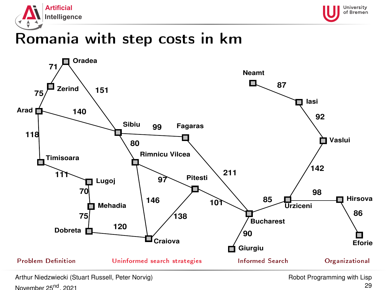



# Romania with step costs in km



Arthur Niedzwiecki (Stuart Russell, Peter Norvig) November 25<sup>nd</sup>, 2021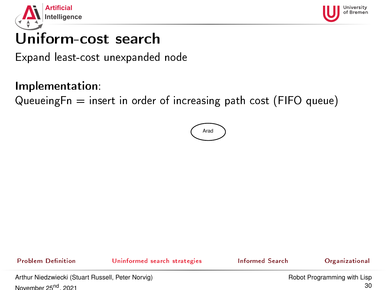<span id="page-29-0"></span>



# Uniform-cost search

Expand least-cost unexpanded node

### Implementation:

Queueing $Fn = insert$  in order of increasing path cost (FIFO queue)



Problem Definition **[Uninformed search strategies](#page-20-0)** [Informed Search](#page-62-0) [Organizational](#page-93-0)

Arthur Niedzwiecki (Stuart Russell, Peter Norvig) November 25<sup>nd</sup>, 2021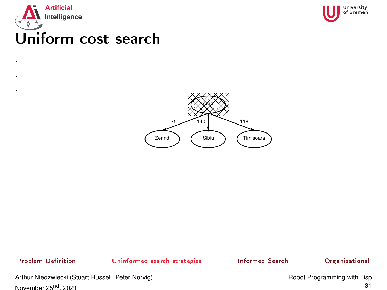

. . .



# Uniform-cost search



Problem Definition **[Uninformed search strategies](#page-20-0)** [Informed Search](#page-62-0) [Organizational](#page-93-0)

Arthur Niedzwiecki (Stuart Russell, Peter Norvig) November 25<sup>nd</sup>, 2021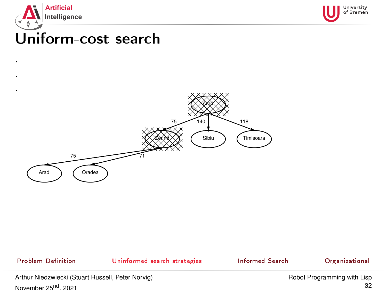

. .



# Uniform-cost search



Problem Definition **[Uninformed search strategies](#page-20-0)** [Informed Search](#page-62-0) [Organizational](#page-93-0)

Arthur Niedzwiecki (Stuart Russell, Peter Norvig) November 25<sup>nd</sup>, 2021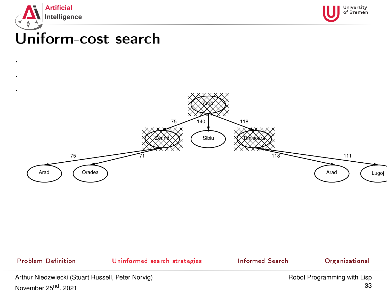

. .



# Uniform-cost search



### Problem Definition **[Uninformed search strategies](#page-20-0)** [Informed Search](#page-62-0) [Organizational](#page-93-0) Arthur Niedzwiecki (Stuart Russell, Peter Norvig) November 25<sup>nd</sup>, 2021 [Robot Programming with Lisp](#page-0-0) 33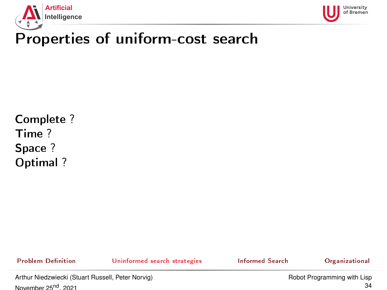



# Properties of uniform-cost search

Complete ? Time ? Space ? Optimal ?

Problem Definition **[Uninformed search strategies](#page-20-0)** [Informed Search](#page-62-0) [Organizational](#page-93-0)

Arthur Niedzwiecki (Stuart Russell, Peter Norvig) November 25<sup>nd</sup>, 2021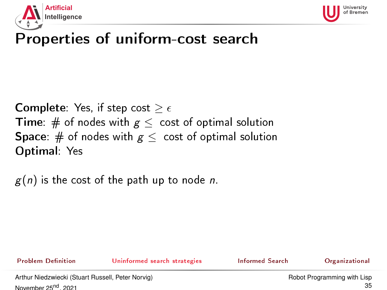



# Properties of uniform-cost search

**Complete:** Yes, if step cost  $\geq \epsilon$ **Time:** # of nodes with  $g \leq$  cost of optimal solution **Space**: # of nodes with  $g \le$  cost of optimal solution Optimal: Yes

 $g(n)$  is the cost of the path up to node n.

Problem Definition **[Uninformed search strategies](#page-20-0)** [Informed Search](#page-62-0) [Organizational](#page-93-0)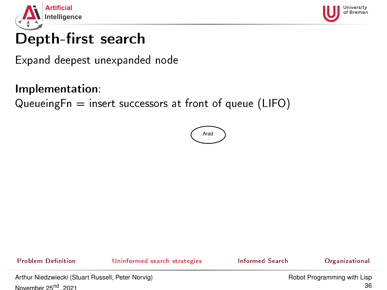<span id="page-35-0"></span>



# Depth-first search

Expand deepest unexpanded node

### Implementation:

QueueingFn  $=$  insert successors at front of queue (LIFO)



Problem Definition **[Uninformed search strategies](#page-20-0)** [Informed Search](#page-62-0) [Organizational](#page-93-0)

Arthur Niedzwiecki (Stuart Russell, Peter Norvig) November 25<sup>nd</sup>, 2021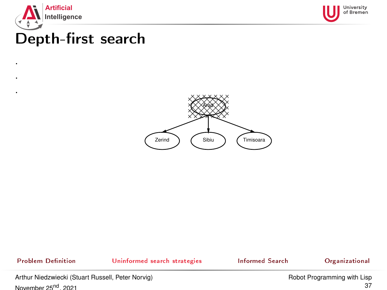

. . .



### Depth-first search



Problem Definition **[Uninformed search strategies](#page-20-0)** [Informed Search](#page-62-0) [Organizational](#page-93-0)

Arthur Niedzwiecki (Stuart Russell, Peter Norvig) November 25<sup>nd</sup>, 2021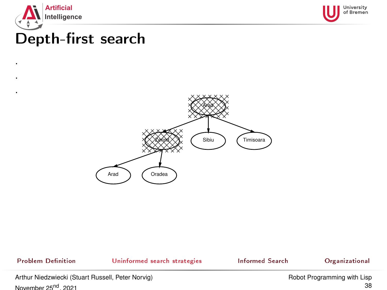

. . .



### Depth-first search



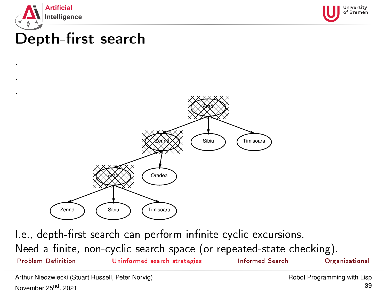

. . .



## Depth-first search



I.e., depth-first search can perform infinite cyclic excursions. Need a finite, non-cyclic search space (or repeated-state checking). Problem Definition **[Uninformed search strategies](#page-20-0)** [Informed Search](#page-62-0) [Organizational](#page-93-0)

Arthur Niedzwiecki (Stuart Russell, Peter Norvig) November 25<sup>nd</sup>, 2021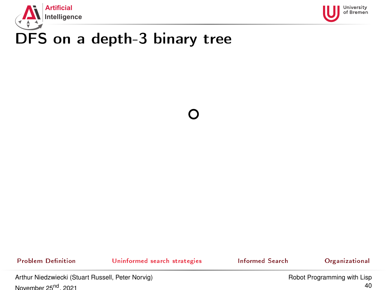



Problem Definition **[Uninformed search strategies](#page-20-0)** [Informed Search](#page-62-0) [Organizational](#page-93-0)

Arthur Niedzwiecki (Stuart Russell, Peter Norvig) November 25<sup>nd</sup>, 2021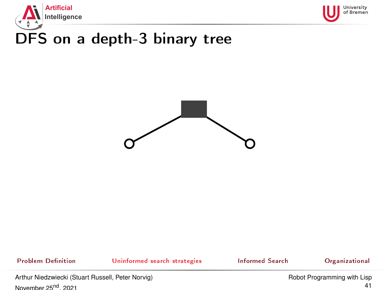





Problem Definition **[Uninformed search strategies](#page-20-0)** [Informed Search](#page-62-0) [Organizational](#page-93-0)

Arthur Niedzwiecki (Stuart Russell, Peter Norvig) November 25<sup>nd</sup>, 2021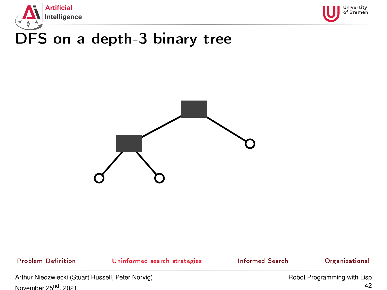





Problem Definition **[Uninformed search strategies](#page-20-0)** [Informed Search](#page-62-0) [Organizational](#page-93-0)

Arthur Niedzwiecki (Stuart Russell, Peter Norvig) November 25<sup>nd</sup>, 2021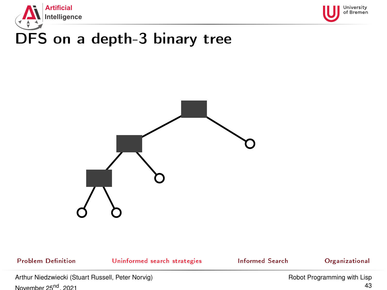





Problem Definition **[Uninformed search strategies](#page-20-0)** [Informed Search](#page-62-0) [Organizational](#page-93-0)

Arthur Niedzwiecki (Stuart Russell, Peter Norvig) November 25<sup>nd</sup>, 2021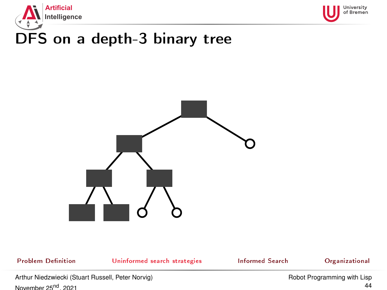





Problem Definition **[Uninformed search strategies](#page-20-0)** [Informed Search](#page-62-0) [Organizational](#page-93-0)

Arthur Niedzwiecki (Stuart Russell, Peter Norvig) November 25<sup>nd</sup>, 2021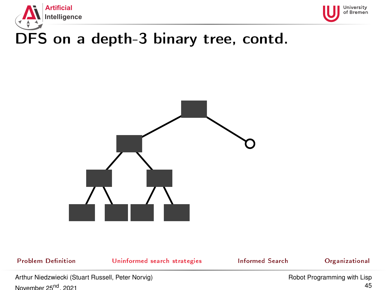



# DFS on a depth-3 binary tree, contd.



Problem Definition **[Uninformed search strategies](#page-20-0)** [Informed Search](#page-62-0) [Organizational](#page-93-0)

Arthur Niedzwiecki (Stuart Russell, Peter Norvig) November 25<sup>nd</sup>, 2021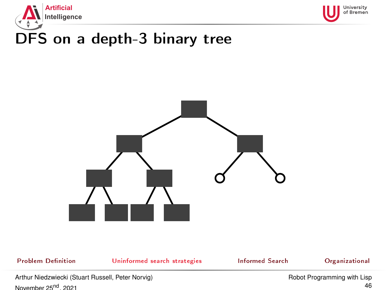





Problem Definition **[Uninformed search strategies](#page-20-0)** [Informed Search](#page-62-0) [Organizational](#page-93-0)

Arthur Niedzwiecki (Stuart Russell, Peter Norvig) November 25<sup>nd</sup>, 2021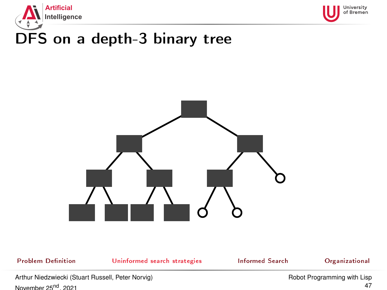





Problem Definition **[Uninformed search strategies](#page-20-0)** [Informed Search](#page-62-0) [Organizational](#page-93-0)

Arthur Niedzwiecki (Stuart Russell, Peter Norvig) November 25<sup>nd</sup>, 2021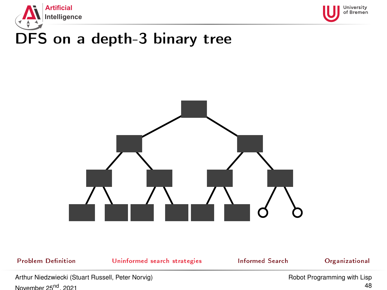





Problem Definition **[Uninformed search strategies](#page-20-0)** [Informed Search](#page-62-0) [Organizational](#page-93-0)

Arthur Niedzwiecki (Stuart Russell, Peter Norvig) November 25<sup>nd</sup>, 2021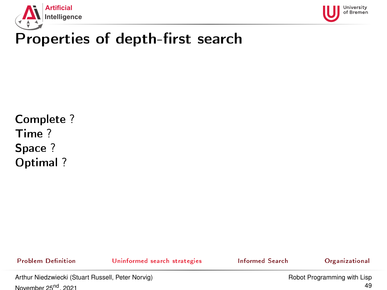



### Properties of depth-first search

Complete ? Time ? Space ? Optimal ?

Problem Definition **[Uninformed search strategies](#page-20-0)** [Informed Search](#page-62-0) [Organizational](#page-93-0)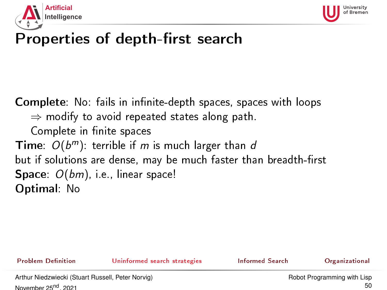



### Properties of depth-first search

**Complete**: No: fails in infinite-depth spaces, spaces with loops  $\Rightarrow$  modify to avoid repeated states along path. Complete in finite spaces Time:  $O(b^m)$ : terrible if m is much larger than d but if solutions are dense, may be much faster than breadth-first **Space**:  $O(bm)$ , i.e., linear space! Optimal: No

Problem Definition **[Uninformed search strategies](#page-20-0)** [Informed Search](#page-62-0) [Organizational](#page-93-0)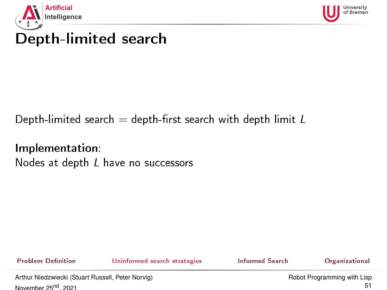<span id="page-50-0"></span>



## Depth-limited search

### Depth-limited search  $=$  depth-first search with depth limit  $L$

Implementation: Nodes at depth L have no successors

Problem Definition **[Uninformed search strategies](#page-20-0)** [Informed Search](#page-62-0) [Organizational](#page-93-0)



Arthur Niedzwiecki (Stuart Russell, Peter Norvig) November 25<sup>nd</sup>, 2021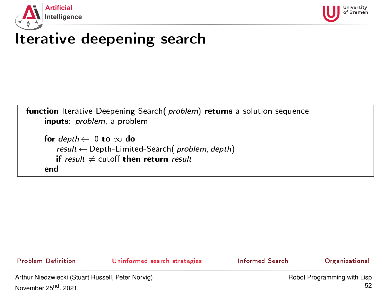<span id="page-51-0"></span>



| function Iterative-Deepening-Search (problem) returns a solution sequence<br>inputs <i>problem</i> , a problem                                             |
|------------------------------------------------------------------------------------------------------------------------------------------------------------|
| for $depth \leftarrow 0$ to $\infty$ do<br>result $\leftarrow$ Depth-Limited-Search (problem, depth)<br>if result $\neq$ cutoff then return result<br>en d |

Problem Definition **[Uninformed search strategies](#page-20-0)** [Informed Search](#page-62-0) [Organizational](#page-93-0)

Arthur Niedzwiecki (Stuart Russell, Peter Norvig) November 25<sup>nd</sup>, 2021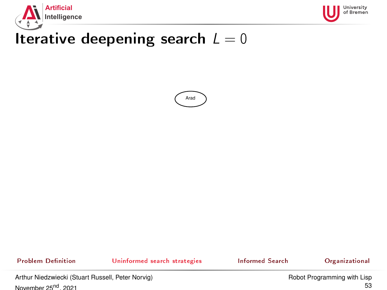





Problem Definition **[Uninformed search strategies](#page-20-0)** [Informed Search](#page-62-0) [Organizational](#page-93-0)

Arthur Niedzwiecki (Stuart Russell, Peter Norvig) November 25<sup>nd</sup>, 2021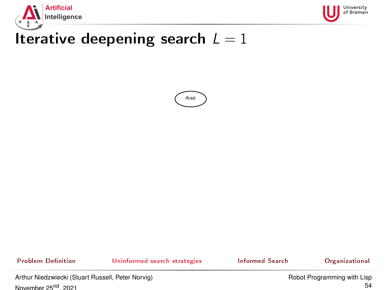





Problem Definition **[Uninformed search strategies](#page-20-0)** [Informed Search](#page-62-0) [Organizational](#page-93-0)

Arthur Niedzwiecki (Stuart Russell, Peter Norvig) November 25<sup>nd</sup>, 2021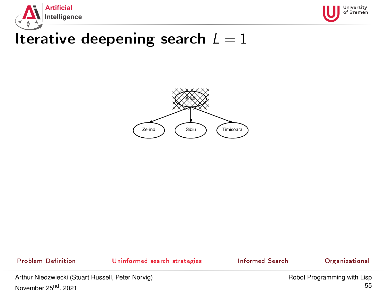





Problem Definition **[Uninformed search strategies](#page-20-0)** [Informed Search](#page-62-0) [Organizational](#page-93-0)

Arthur Niedzwiecki (Stuart Russell, Peter Norvig) November 25<sup>nd</sup>, 2021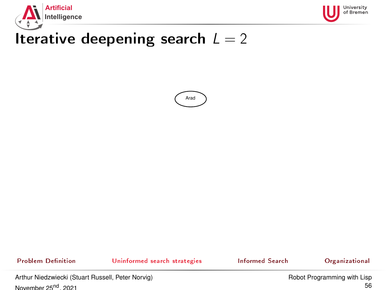





Problem Definition **[Uninformed search strategies](#page-20-0)** [Informed Search](#page-62-0) [Organizational](#page-93-0)

Arthur Niedzwiecki (Stuart Russell, Peter Norvig) November 25<sup>nd</sup>, 2021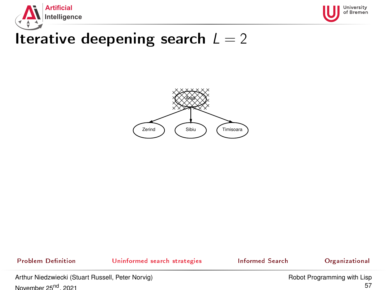





Problem Definition **[Uninformed search strategies](#page-20-0)** [Informed Search](#page-62-0) [Organizational](#page-93-0)

Arthur Niedzwiecki (Stuart Russell, Peter Norvig) November 25<sup>nd</sup>, 2021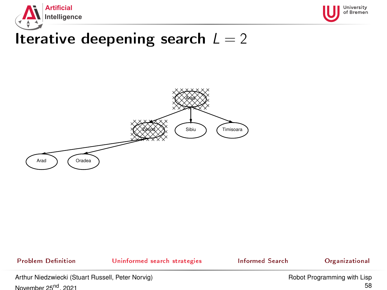





Problem Definition **[Uninformed search strategies](#page-20-0)** [Informed Search](#page-62-0) [Organizational](#page-93-0)

Arthur Niedzwiecki (Stuart Russell, Peter Norvig) November 25<sup>nd</sup>, 2021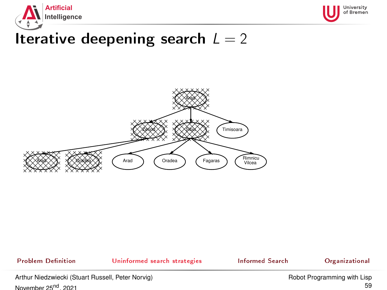





Problem Definition **[Uninformed search strategies](#page-20-0)** [Informed Search](#page-62-0) [Organizational](#page-93-0)

Arthur Niedzwiecki (Stuart Russell, Peter Norvig) November 25<sup>nd</sup>, 2021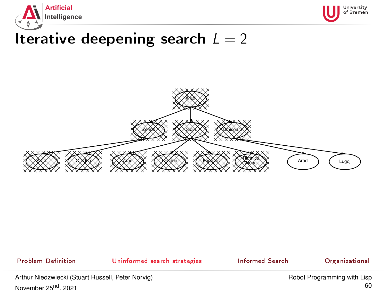





Problem Definition **[Uninformed search strategies](#page-20-0)** [Informed Search](#page-62-0) [Organizational](#page-93-0)

Arthur Niedzwiecki (Stuart Russell, Peter Norvig) November 25<sup>nd</sup>, 2021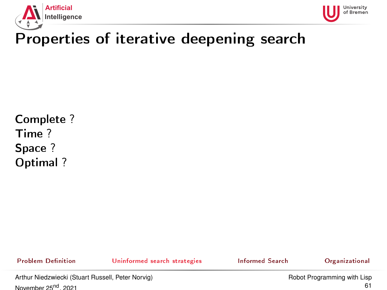



### Properties of iterative deepening search

Complete ? Time ? Space ? Optimal ?

Problem Definition **[Uninformed search strategies](#page-20-0)** [Informed Search](#page-62-0) [Organizational](#page-93-0)

Arthur Niedzwiecki (Stuart Russell, Peter Norvig) November 25<sup>nd</sup>, 2021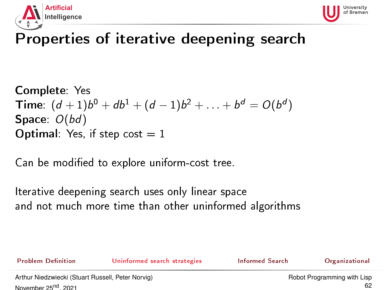



### Properties of iterative deepening search

```
Complete: Yes
Time: (d + 1)b^0 + db^1 + (d - 1)b^2 + \ldots + b^d = O(b^d)Space: O(bd)Optimal: Yes, if step cost = 1
```
Can be modified to explore uniform-cost tree.

Iterative deepening search uses only linear space and not much more time than other uninformed algorithms

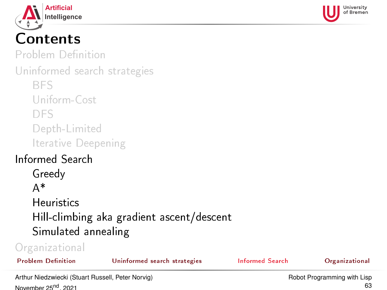<span id="page-62-0"></span>



# Contents

Problem Definition

[Uninformed search strategies](#page-20-0)

[BFS](#page-22-0)

[Uniform-Cost](#page-29-0)

[DFS](#page-35-0)

[Depth-Limited](#page-50-0)

[Iterative Deepening](#page-51-0)

### [Informed Search](#page-62-0)

[Greedy](#page-65-0) [A\\*](#page-72-0) **[Heuristics](#page-83-0)** [Hill-climbing aka gradient ascent/descent](#page-89-0) [Simulated annealing](#page-91-0)

| Organizational            |                              |                 |                |
|---------------------------|------------------------------|-----------------|----------------|
| <b>Problem Definition</b> | Uninformed search strategies | Informed Search | Organizational |

Arthur Niedzwiecki (Stuart Russell, Peter Norvig) November 25<sup>nd</sup>, 2021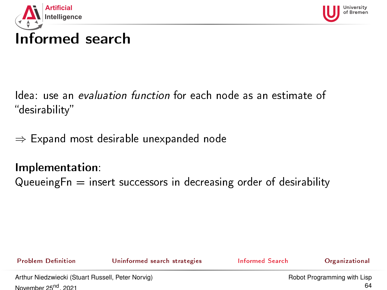<span id="page-63-0"></span>



# Informed search

Idea: use an evaluation function for each node as an estimate of desirability

 $\Rightarrow$  Expand most desirable unexpanded node

### Implementation:

Queueing $F_n$  = insert successors in decreasing order of desirability

Problem Definition **[Uninformed search strategies](#page-20-0)** [Informed Search](#page-62-0) [Organizational](#page-93-0)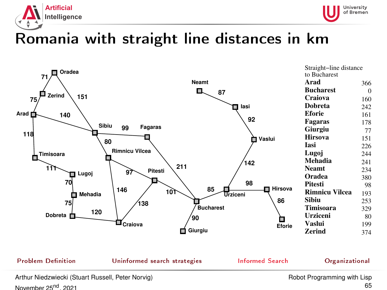<span id="page-64-0"></span>



### Romania with straight line distances in km



| Straight-line distance |                |  |
|------------------------|----------------|--|
| to Bucharest           |                |  |
| Arad                   | 366            |  |
| <b>Bucharest</b>       | $\overline{0}$ |  |
| Craiova                | 160            |  |
| Dobreta                | 242            |  |
| Eforie                 | 161            |  |
| Fagaras                | 178            |  |
| Giurgiu                | 77             |  |
| <b>Hirsova</b>         | 151            |  |
| Tasi                   | 226            |  |
| Lugoj                  | 244            |  |
| Mehadia                | 241            |  |
| <b>Neamt</b>           | 234            |  |
| Oradea                 | 380            |  |
| Pitesti                | 98             |  |
| <b>Rimnicu Vilcea</b>  | 193            |  |
| Sibiu                  | 253            |  |
| Timisoara              | 329            |  |
| Urziceni               | 80             |  |
| Vaslui                 | 199            |  |
| Zerind                 | 374            |  |
|                        |                |  |

Arthur Niedzwiecki (Stuart Russell, Peter Norvig) November 25<sup>nd</sup>, 2021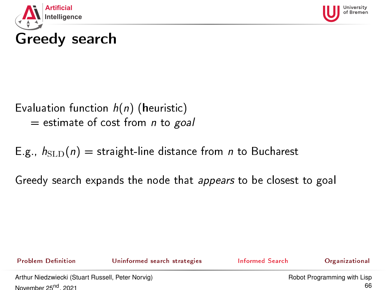<span id="page-65-0"></span>



# Greedy search

Evaluation function  $h(n)$  (heuristic)  $=$  estimate of cost from *n* to goal

E.g.,  $h_{\text{SLD}}(n)$  = straight-line distance from *n* to Bucharest

Greedy search expands the node that appears to be closest to goal

Problem Definition **[Uninformed search strategies](#page-20-0)** [Informed Search](#page-62-0) [Organizational](#page-93-0)



Arthur Niedzwiecki (Stuart Russell, Peter Norvig) November 25<sup>nd</sup>, 2021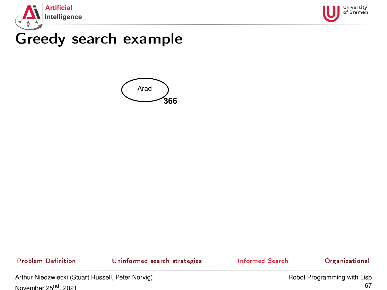



### Greedy search example



Problem Definition [Uninformed search strategies](#page-20-0) and informed Search [Organizational](#page-93-0)

Arthur Niedzwiecki (Stuart Russell, Peter Norvig) November 25<sup>nd</sup>, 2021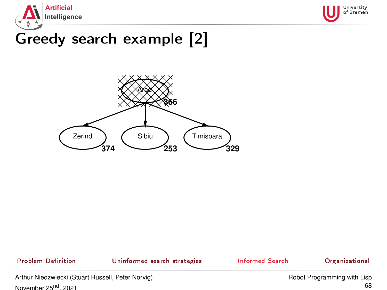



### Greedy search example [2]



Problem Definition **[Uninformed search strategies](#page-20-0)** [Informed Search](#page-62-0) [Organizational](#page-93-0)

Arthur Niedzwiecki (Stuart Russell, Peter Norvig) November 25<sup>nd</sup>, 2021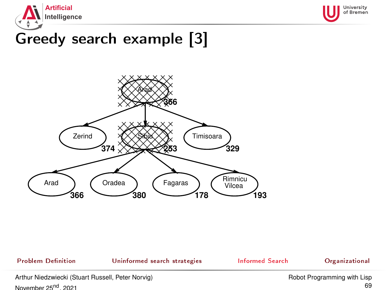



### Greedy search example [3]



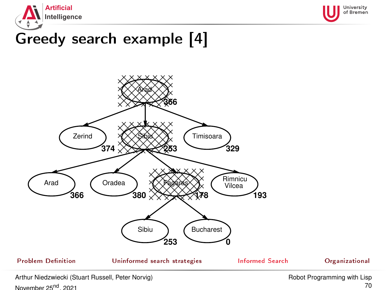



### Greedy search example [4]



November 25<sup>nd</sup>, 2021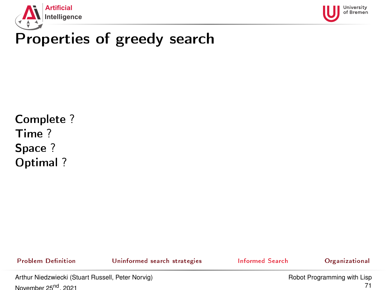



### Properties of greedy search

Complete ? Time ? Space ? Optimal ?

Problem Definition **[Uninformed search strategies](#page-20-0)** [Informed Search](#page-62-0) [Organizational](#page-93-0)

Arthur Niedzwiecki (Stuart Russell, Peter Norvig) November 25<sup>nd</sup>, 2021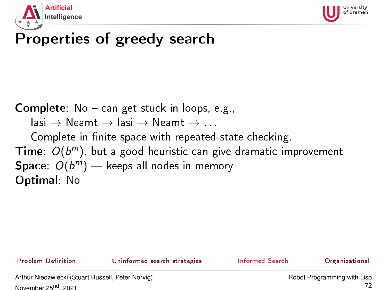



### Properties of greedy search

**Complete**:  $No - can get stuck in loops, e.g.,$ 

 $\mathsf{lasi} \to \mathsf{Neamt} \to \mathsf{lasi} \to \mathsf{Neamt} \to \ldots$ 

Complete in finite space with repeated-state checking. Time:  $O(b^m)$ , but a good heuristic can give dramatic improvement Space:  $O(b^m)$  — keeps all nodes in memory Optimal: No

Problem Definition **[Uninformed search strategies](#page-20-0)** [Informed Search](#page-62-0) [Organizational](#page-93-0)

Arthur Niedzwiecki (Stuart Russell, Peter Norvig) November 25<sup>nd</sup>, 2021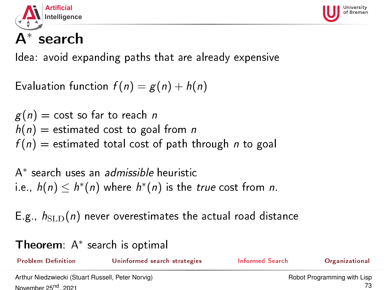<span id="page-72-0"></span>



# A∗ search

Idea: avoid expanding paths that are already expensive

```
Evaluation function f(n) = g(n) + h(n)
```

```
g(n) = \text{cost so far to reach } nh(n) = estimated cost to goal from n
f(n) = estimated total cost of path through n to goal
```
A<sup>\*</sup> search uses an *admissible* heuristic i.e.,  $h(n) \leq h^*(n)$  where  $h^*(n)$  is the true cost from n.

E.g.,  $h_{\text{SLD}}(n)$  never overestimates the actual road distance

Theorem: A<sup>∗</sup> search is optimal

| <b>Problem Definition</b>                         | Uninformed search strategies | Informed Search             | Organizational |
|---------------------------------------------------|------------------------------|-----------------------------|----------------|
| Arthur Niedzwiecki (Stuart Russell, Peter Norvig) |                              | Robot Programming with Lisp |                |
| November 25 <sup>nd</sup> 2021                    |                              |                             |                |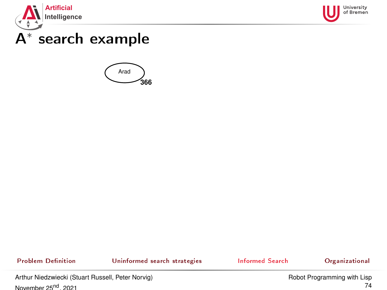



## A∗ search example



Problem Definition [Uninformed search strategies](#page-20-0) and informed Search [Organizational](#page-93-0)

Arthur Niedzwiecki (Stuart Russell, Peter Norvig) November 25<sup>nd</sup>, 2021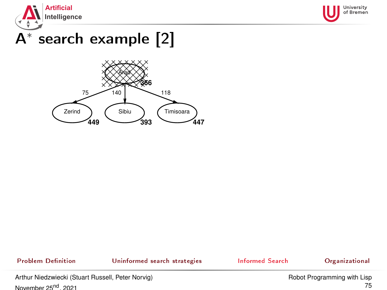



# A∗ search example [2]



Problem Definition **[Uninformed search strategies](#page-20-0)** [Informed Search](#page-62-0) [Organizational](#page-93-0)

Arthur Niedzwiecki (Stuart Russell, Peter Norvig) November 25<sup>nd</sup>, 2021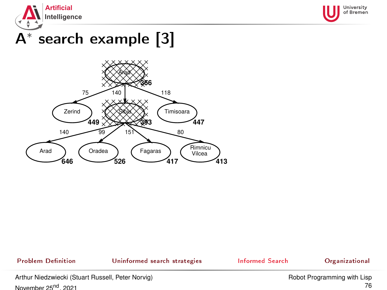



# A∗ search example [3]



Problem Definition **[Uninformed search strategies](#page-20-0)** [Informed Search](#page-62-0) [Organizational](#page-93-0)

Arthur Niedzwiecki (Stuart Russell, Peter Norvig) November 25<sup>nd</sup>, 2021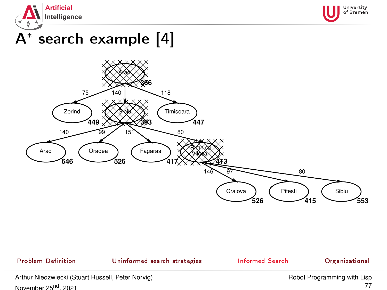



# A∗ search example [4]



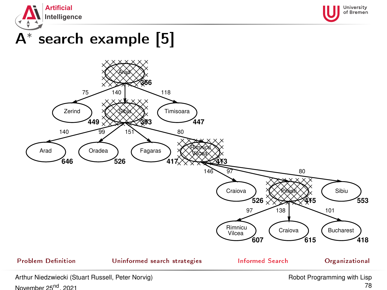



# A∗ search example [5]



November 25<sup>nd</sup>, 2021

78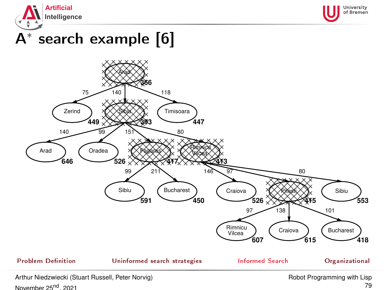



# A∗ search example [6]



November 25<sup>nd</sup>, 2021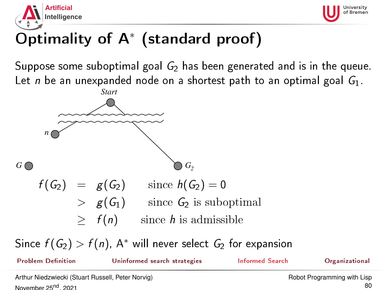



# Optimality of A<sup>∗</sup> (standard proof)

Suppose some suboptimal goal  $G_2$  has been generated and is in the queue. Let n be an unexpanded node on a shortest path to an optimal goal  $G_1$ .



Since  $f(G_2) > f(n)$ , A\* will never select  $G_2$  for expansion

Problem Definition **[Uninformed search strategies](#page-20-0)** [Informed Search](#page-62-0) [Organizational](#page-93-0) Arthur Niedzwiecki (Stuart Russell, Peter Norvig) November 25<sup>nd</sup>, 2021 [Robot Programming with Lisp](#page-0-0)  $80$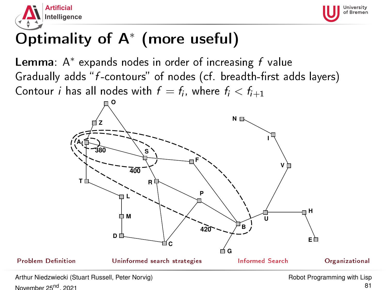



# Optimality of A<sup>∗</sup> (more useful)

Lemma:  $A^*$  expands nodes in order of increasing  $f$  value Gradually adds " $f$ -contours" of nodes (cf. breadth-first adds layers) Contour *i* has all nodes with  $f = f_i$ , where  $f_i < f_{i+1}$ 

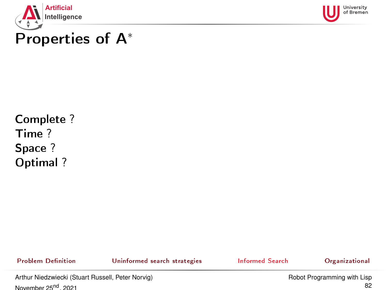



### Properties of A<sup>∗</sup>

Complete ? Time ? Space ? Optimal ?

Problem Definition **[Uninformed search strategies](#page-20-0)** [Informed Search](#page-62-0) [Organizational](#page-93-0)

Arthur Niedzwiecki (Stuart Russell, Peter Norvig) November 25<sup>nd</sup>, 2021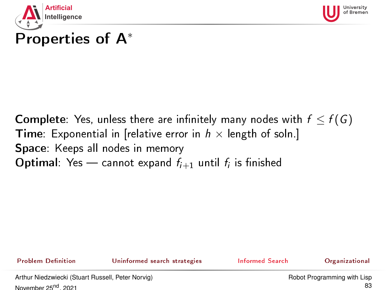



# Properties of A<sup>∗</sup>

**Complete**: Yes, unless there are infinitely many nodes with  $f \leq f(G)$ **Time:** Exponential in [relative error in  $h \times$  length of soln.] Space: Keeps all nodes in memory **Optimal**: Yes — cannot expand  $f_{i+1}$  until  $f_i$  is finished

Problem Definition **[Uninformed search strategies](#page-20-0)** [Informed Search](#page-62-0) [Organizational](#page-93-0)

Arthur Niedzwiecki (Stuart Russell, Peter Norvig) November 25<sup>nd</sup>, 2021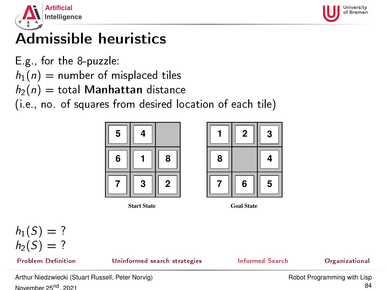<span id="page-83-0"></span>



# Admissible heuristics

E.g., for the 8-puzzle:

 $h_1(n)$  = number of misplaced tiles

 $h_2(n) =$  total Manhattan distance

(i.e., no. of squares from desired location of each tile)



**Start State Goal State**





Problem Definition **[Uninformed search strategies](#page-20-0)** [Informed Search](#page-62-0) [Organizational](#page-93-0)



Arthur Niedzwiecki (Stuart Russell, Peter Norvig) November 25<sup>nd</sup>, 2021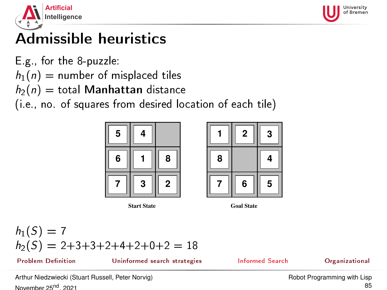



## Admissible heuristics

E.g., for the 8-puzzle:

 $h_1(n)$  = number of misplaced tiles

 $h_2(n)$  = total Manhattan distance

(i.e., no. of squares from desired location of each tile)



**Start State Goal State**



$$
h_1(S) = 7
$$
  
 
$$
h_2(S) = 2+3+3+2+4+2+0+2 = 18
$$

Problem Definition **[Uninformed search strategies](#page-20-0)** [Informed Search](#page-62-0) [Organizational](#page-93-0)



Arthur Niedzwiecki (Stuart Russell, Peter Norvig) November 25<sup>nd</sup>, 2021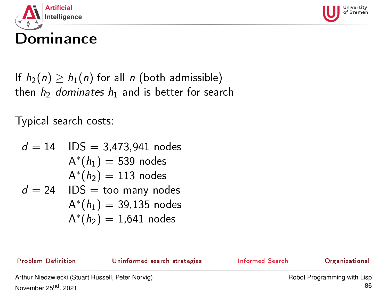



If  $h_2(n) \geq h_1(n)$  for all n (both admissible) then  $h_2$  dominates  $h_1$  and is better for search

Typical search costs:

$$
d = 14
$$
IDS = 3,473,941 nodes  
\n
$$
A^*(h_1) = 539 \text{ nodes}
$$
  
\n
$$
A^*(h_2) = 113 \text{ nodes}
$$
  
\n
$$
d = 24
$$
IDS = too many nodes  
\n
$$
A^*(h_1) = 39,135 \text{ nodes}
$$
  
\n
$$
A^*(h_2) = 1,641 \text{ nodes}
$$

Problem Definition **[Uninformed search strategies](#page-20-0)** [Informed Search](#page-62-0) [Organizational](#page-93-0)

Arthur Niedzwiecki (Stuart Russell, Peter Norvig) November 25<sup>nd</sup>, 2021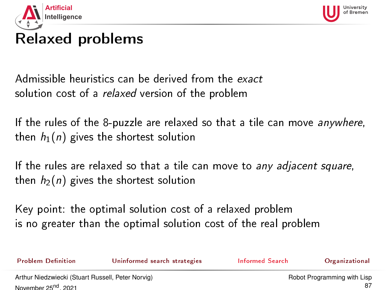



### Relaxed problems

Admissible heuristics can be derived from the exact solution cost of a *relaxed* version of the problem

If the rules of the 8-puzzle are relaxed so that a tile can move anywhere, then  $h_1(n)$  gives the shortest solution

If the rules are relaxed so that a tile can move to any adjacent square, then  $h_2(n)$  gives the shortest solution

Key point: the optimal solution cost of a relaxed problem is no greater than the optimal solution cost of the real problem

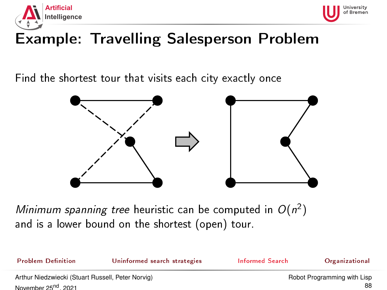



### Example: Travelling Salesperson Problem

Find the shortest tour that visits each city exactly once



Minimum spanning tree heuristic can be computed in  $O(n^2)$ and is a lower bound on the shortest (open) tour.

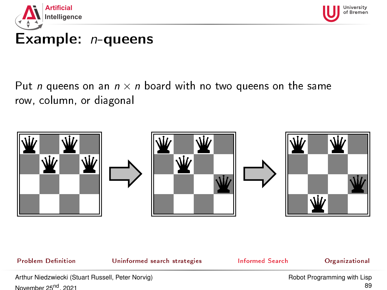



### Example: *n*-queens

### Put *n* queens on an  $n \times n$  board with no two queens on the same row, column, or diagonal



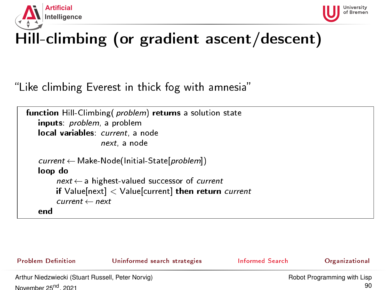<span id="page-89-0"></span>



# Hill-climbing (or gradient ascent/descent)

Like climbing Everest in thick fog with amnesia

```
function Hill-Climbing (problem) returns a solution state
   inputs: problem, a problem
   local variables: current, a node
                    next, a node
   current ← Make-Node(Initial-State[problem])
   loop do
        next \leftarrow a highest-valued successor of current
        if Value[next] < Value[current] then return current
        current \leftarrow nextend
```
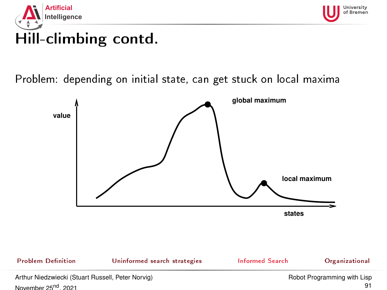



### Problem: depending on initial state, can get stuck on local maxima



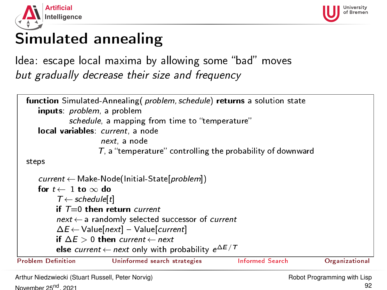<span id="page-91-0"></span>



### Simulated annealing

Idea: escape local maxima by allowing some "bad" moves but gradually decrease their size and frequency

```
function Simulated-Annealing (problem, schedule) returns a solution state
     inputs: problem, a problem
              schedule, a mapping from time to "temperature"
     local variables: current, a node
                        next, a node
                       T, a "temperature" controlling the probability of downward
  steps
      current ← Make-Node(Initial-State[problem])
     for t \leftarrow 1 to \infty do
           T \leftarrow schedule[t]
           if T=0 then return current
           next \leftarrow a randomly selected successor of current
           \Delta E \leftarrow Value[next] – Value[current]
           if \Delta E > 0 then current \leftarrow next
           else \textit{current} \leftarrow \textit{next} only with probability e^{\Delta E/T}Uninformed search strategiesInformed SearchOrganizational
```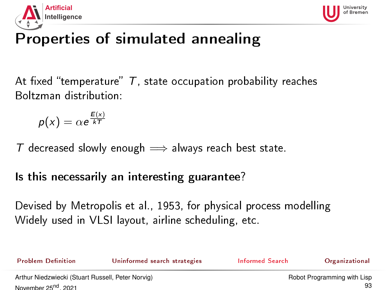



# Properties of simulated annealing

At fixed "temperature"  $T$ , state occupation probability reaches Boltzman distribution:

$$
p(x) = \alpha e^{\frac{E(x)}{kT}}
$$

T decreased slowly enough  $\implies$  always reach best state.

Is this necessarily an interesting guarantee?

Devised by Metropolis et al., 1953, for physical process modelling Widely used in VLSI layout, airline scheduling, etc.

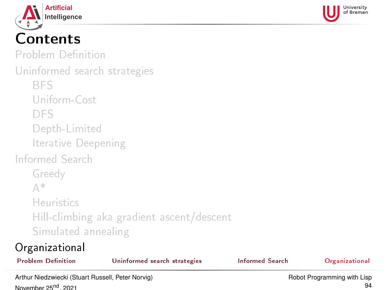<span id="page-93-0"></span>



# Contents

Problem Definition

[Uninformed search strategies](#page-20-0)

[BFS](#page-22-0)

[Uniform-Cost](#page-29-0)

[DFS](#page-35-0)

[Depth-Limited](#page-50-0)

[Iterative Deepening](#page-51-0)

[Informed Search](#page-62-0)

[Greedy](#page-65-0)

[A\\*](#page-72-0)

[Heuristics](#page-83-0)

[Hill-climbing aka gradient ascent/descent](#page-89-0) [Simulated annealing](#page-91-0)

### [Organizational](#page-93-0)

| Arthur Niedzwiecki (Stuart Russell, Peter Norvic) |                              |                 | Robot Programming with Lien |  |
|---------------------------------------------------|------------------------------|-----------------|-----------------------------|--|
| <b>Problem Definition</b>                         | Uninformed search strategies | Informed Search | <b>Organizational</b>       |  |
| Organizational                                    |                              |                 |                             |  |

aluari Nusse November 25<sup>nd</sup>, 2021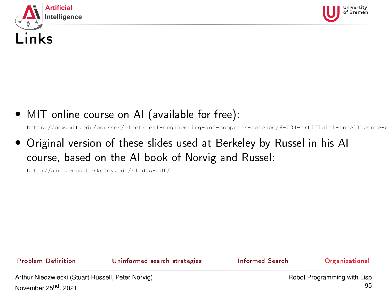<span id="page-94-0"></span>



• MIT online course on AI (available for free):

https://ocw.mit.edu/courses/electrical-engineering-and-computer-science/6-034-artificial-intelligence-s

• Original version of these slides used at Berkeley by Russel in his AI course, based on the AI book of Norvig and Russel:

<http://aima.eecs.berkeley.edu/slides-pdf/>

Problem Definition **[Uninformed search strategies](#page-20-0)** [Informed Search](#page-62-0) [Organizational](#page-93-0)

Arthur Niedzwiecki (Stuart Russell, Peter Norvig) November 25<sup>nd</sup>, 2021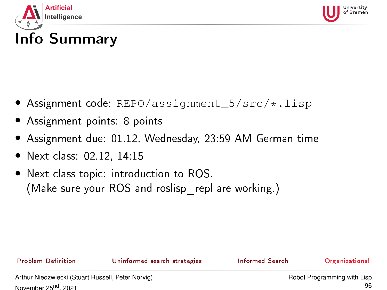<span id="page-95-0"></span>



# Info Summary

- Assignment code: REPO/assignment 5/src/\*.lisp
- Assignment points: 8 points
- Assignment due: 01.12, Wednesday, 23:59 AM German time
- Next class: 02.12, 14:15
- Next class topic: introduction to ROS. (Make sure your ROS and roslisp repl are working.)

Problem Definition **[Uninformed search strategies](#page-20-0)** [Informed Search](#page-62-0) [Organizational](#page-93-0)

Arthur Niedzwiecki (Stuart Russell, Peter Norvig) November 25<sup>nd</sup>, 2021